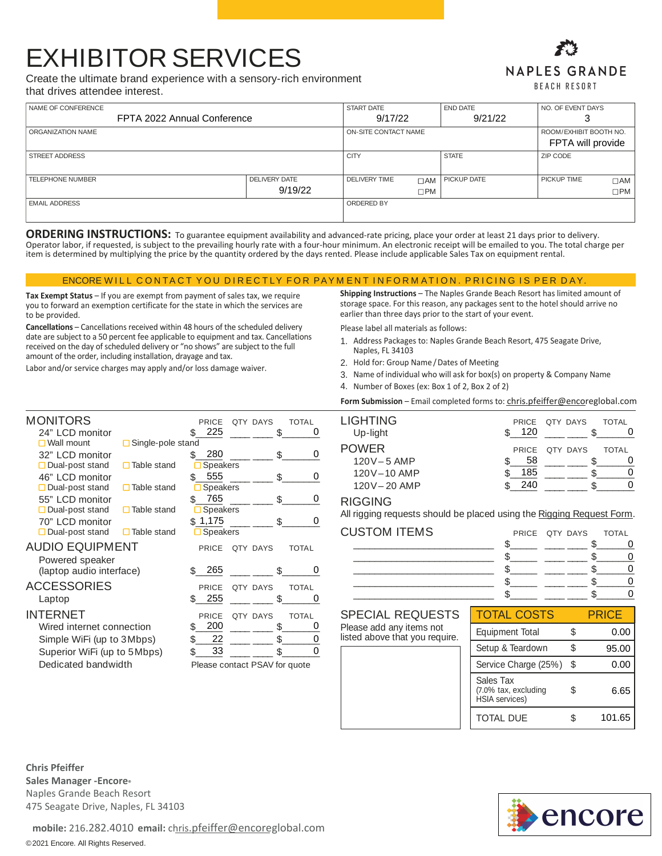## **EXHIBITOR SERVICES**

Create the ultimate brand experience with a sensory-rich environment that drives attendee interest.

## **NAPLES GRANDE BEACH RESORT**

| NAME OF CONFERENCE          |                      | <b>START DATE</b>    |              | <b>END DATE</b> | NO. OF EVENT DAYS      |              |
|-----------------------------|----------------------|----------------------|--------------|-----------------|------------------------|--------------|
| FPTA 2022 Annual Conference |                      | 9/17/22              |              | 9/21/22         | J                      |              |
| ORGANIZATION NAME           |                      | ON-SITE CONTACT NAME |              |                 | ROOM/EXHIBIT BOOTH NO. |              |
|                             |                      |                      |              |                 | FPTA will provide      |              |
| <b>STREET ADDRESS</b>       |                      | <b>CITY</b>          |              | <b>STATE</b>    | ZIP CODE               |              |
|                             |                      |                      |              |                 |                        |              |
| <b>TELEPHONE NUMBER</b>     | <b>DELIVERY DATE</b> | <b>DELIVERY TIME</b> | $\Box$ AM    | PICKUP DATE     | PICKUP TIME            | $\Box$ AM    |
|                             | 9/19/22              |                      | $\square$ PM |                 |                        | $\square$ PM |
| <b>EMAIL ADDRESS</b>        |                      | ORDERED BY           |              |                 |                        |              |
|                             |                      |                      |              |                 |                        |              |

ORDERING INSTRUCTIONS: To guarantee equipment availability and advanced-rate pricing, place your order at least 21 days prior to delivery. Operator labor, if requested, is subject to the prevailing hourly rate with a four-hour minimum. An electronic receipt will be emailed to you. The total charge per item is determined by multiplying the price by the quantity ordered by the days rented. Please include applicable Sales Tax on equipment rental.

ENCORE WILL CONTACT YOU DIRECTLY FOR PAYMENT INFORMATION. PRICING IS PER DAY.

Tax Exempt Status - If you are exempt from payment of sales tax, we require you to forward an exemption certificate for the state in which the services are to be provided.

Cancellations - Cancellations received within 48 hours of the scheduled delivery date are subject to a 50 percent fee applicable to equipment and tax. Cancellations received on the day of scheduled delivery or "no shows" are subject to the full amount of the order, including installation, drayage and tax.

Labor and/or service charges may apply and/or loss damage waiver.

Shipping Instructions - The Naples Grande Beach Resort has limited amount of storage space. For this reason, any packages sent to the hotel should arrive no earlier than three days prior to the start of your event.

Please label all materials as follows:

- 1. Address Packages to: Naples Grande Beach Resort, 475 Seagate Drive, Naples, FL 34103
- 2. Hold for: Group Name / Dates of Meeting
- 3. Name of individual who will ask for box(s) on property & Company Name
- 4. Number of Boxes (ex: Box 1 of 2, Box 2 of 2)

Form Submission - Email completed forms to: chris.pfeiffer@encoreglobal.com

| MONITORS                                  | PRICE<br>OTY DAYS<br><b>TOTAL</b>        |  |
|-------------------------------------------|------------------------------------------|--|
| 24" LCD monitor                           | 225<br>\$<br>\$<br>0                     |  |
| $\square$ Wall mount<br>Single-pole stand |                                          |  |
| 32" LCD monitor                           | 280<br>\$<br>\$<br>0                     |  |
| $\Box$ Dual-post stand<br>Table stand     | Speakers                                 |  |
| 46" LCD monitor                           | 555<br>\$<br>\$.<br>O                    |  |
| $\Box$ Dual-post stand<br>Table stand     | <b>Speakers</b>                          |  |
| 55" LCD monitor                           | 765<br>\$.<br>0<br>\$.                   |  |
| $\Box$ Dual-post stand<br>Table stand     | Speakers                                 |  |
| 70" LCD monitor                           | \$1,175<br>\$.<br>0                      |  |
| $\Box$ Dual-post stand<br>Table stand     | $\Box$ Speakers                          |  |
| AUDIO EQUIPMENT                           | PRICE<br><b>OTY DAYS</b><br><b>TOTAL</b> |  |
| Powered speaker                           |                                          |  |
| (laptop audio interface)                  | 265<br>\$.<br>\$.<br>0                   |  |
| ACCESSORIES                               | <b>PRICE</b><br>QTY DAYS<br><b>TOTAL</b> |  |
| Laptop                                    | 255<br>\$<br>\$<br>0                     |  |
| <b>NTERNET</b>                            |                                          |  |
|                                           | <b>PRICE</b><br><b>TOTAL</b><br>QTY DAYS |  |
| Wired internet connection                 | 200<br>\$.<br>\$<br>0                    |  |
| Simple WiFi (up to 3Mbps)                 | 22<br>\$<br>\$<br>0                      |  |
| Superior WiFi (up to 5Mbps)               | 0<br>33<br>\$.<br>\$.                    |  |
| Dedicated bandwidth                       | Please contact PSAV for quote            |  |

|     | TOTAI                                   |
|-----|-----------------------------------------|
|     |                                         |
|     | TOTAL                                   |
| 58  |                                         |
| 185 |                                         |
| 240 |                                         |
|     | PRICE OTY DAYS<br>120<br>PRICE QTY DAYS |

#### **RIGGING**

All rigging requests should be placed using the Rigging Request Form.

| <b>CUSTOM ITEMS</b> | PRICE QTY DAYS TOTAL |  |
|---------------------|----------------------|--|
|                     |                      |  |
|                     |                      |  |
|                     |                      |  |
|                     |                      |  |
|                     |                      |  |

### **SPECIAL REQUESTS**

Please add any items not listed above that you require.

| TOTAL COSTS                                                |    | PRICF  |
|------------------------------------------------------------|----|--------|
| <b>Equipment Total</b>                                     | \$ | 0.00   |
| Setup & Teardown                                           | S  | 95.00  |
| Service Charge (25%)                                       | \$ | 0.00   |
| Sales Tax<br>(7.0% tax, excluding<br><b>HSIA</b> services) | \$ | 6.65   |
| <b>TOTAL DUE</b>                                           | S  | 101.65 |

**Chris Pfeiffer** Sales Manager - Encore<sup>®</sup> Naples Grande Beach Resort 475 Seagate Drive, Naples, FL 34103



mobile: 216.282.4010 email: chris.pfeiffer@encoreglobal.com

©2021 Encore. All Rights Reserved.